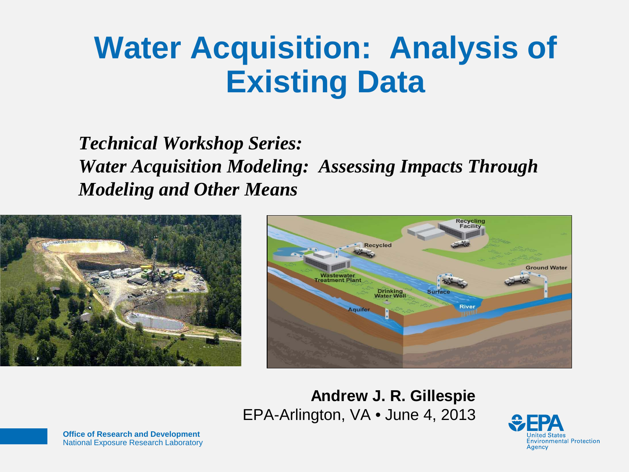## **Water Acquisition: Analysis of Existing Data**

*Technical Workshop Series: Water Acquisition Modeling: Assessing Impacts Through Modeling and Other Means*





**Andrew J. R. Gillespie** EPA-Arlington, VA • June 4, 2013



**Office of Research and Development** National Exposure Research Laboratory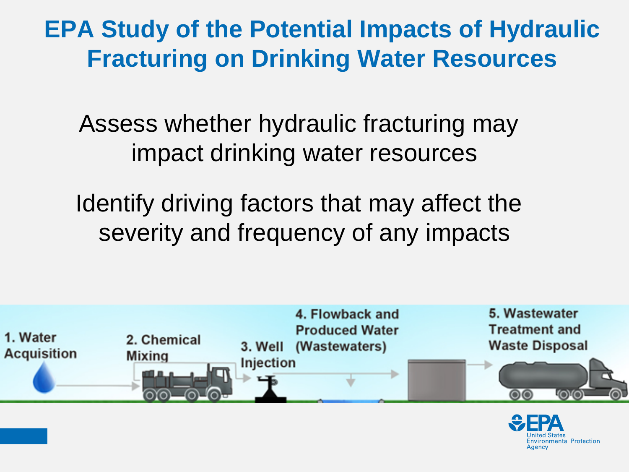#### **EPA Study of the Potential Impacts of Hydraulic Fracturing on Drinking Water Resources**

Assess whether hydraulic fracturing may impact drinking water resources

Identify driving factors that may affect the severity and frequency of any impacts



ronmental Protection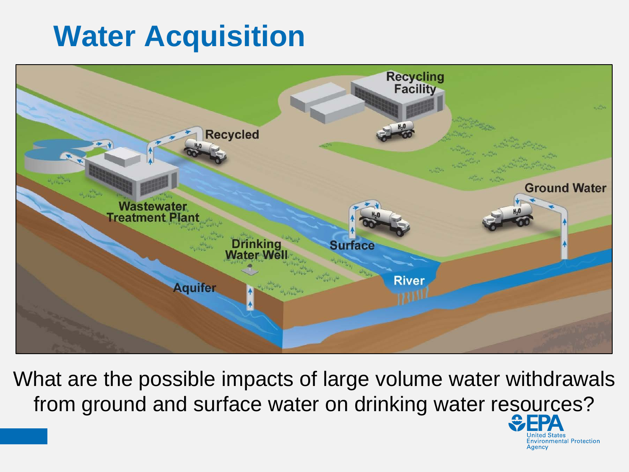## **Water Acquisition**



What are the possible impacts of large volume water withdrawals from ground and surface water on drinking water resources?

nvironmental Protection

Agency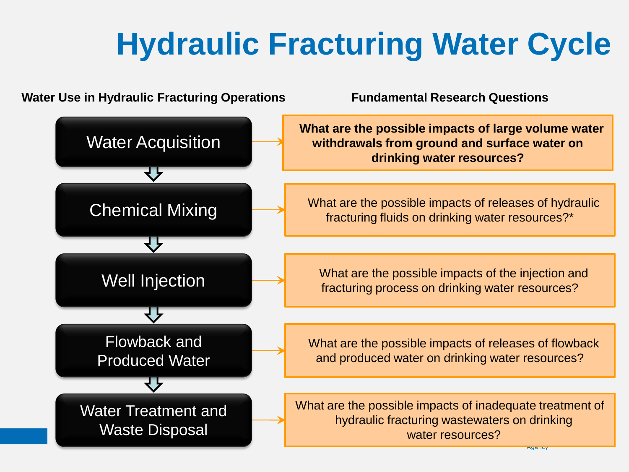# **Hydraulic Fracturing Water Cycle**

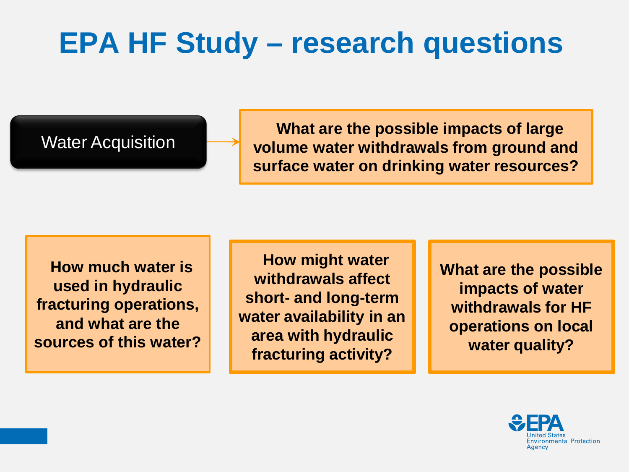## **EPA HF Study – research questions**

Water Acquisition **What are the possible impacts of large volume water withdrawals from ground and surface water on drinking water resources?**

**How much water is used in hydraulic fracturing operations, and what are the sources of this water?**

**How might water withdrawals affect short- and long-term water availability in an area with hydraulic fracturing activity?**

**What are the possible impacts of water withdrawals for HF operations on local water quality?**

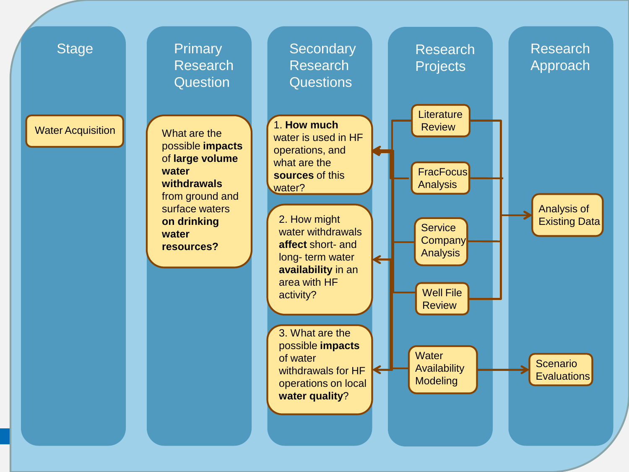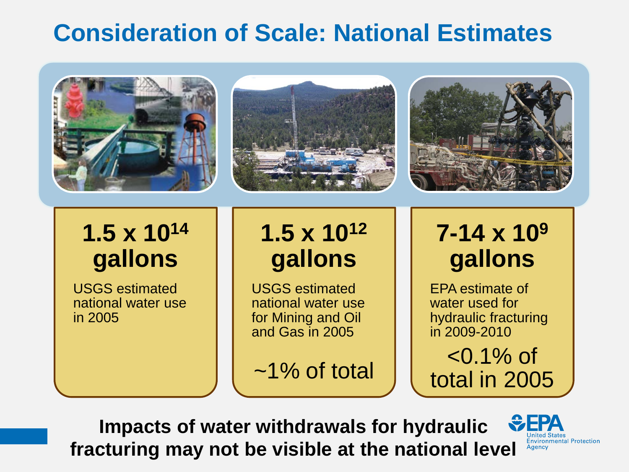#### **Consideration of Scale: National Estimates**







#### **1.5 x 1014 gallons**

USGS estimated national water use in 2005

#### **1.5 x 1012 gallons**

USGS estimated national water use for Mining and Oil and Gas in 2005

 $\sim$ 1% of total

#### **7-14 x 109 gallons**

EPA estimate of water used for hydraulic fracturing in 2009-2010

 $< 0.1\%$  of total in 2005

**Impacts of water withdrawals for hydraulic fracturing may not be visible at the national level**

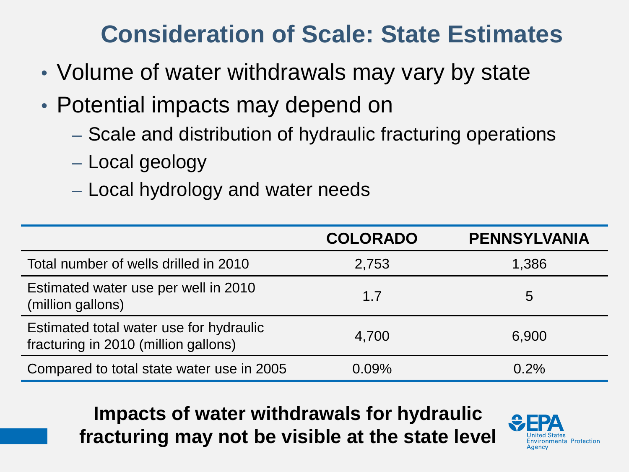#### **Consideration of Scale: State Estimates**

- Volume of water withdrawals may vary by state
- Potential impacts may depend on
	- Scale and distribution of hydraulic fracturing operations
	- Local geology
	- Local hydrology and water needs

|                                                                                 | <b>COLORADO</b> | <b>PENNSYLVANIA</b> |
|---------------------------------------------------------------------------------|-----------------|---------------------|
| Total number of wells drilled in 2010                                           | 2,753           | 1,386               |
| Estimated water use per well in 2010<br>(million gallons)                       | 1.7             | 5                   |
| Estimated total water use for hydraulic<br>fracturing in 2010 (million gallons) | 4,700           | 6,900               |
| Compared to total state water use in 2005                                       | 0.09%           | $0.2\%$             |

**Impacts of water withdrawals for hydraulic fracturing may not be visible at the state level**

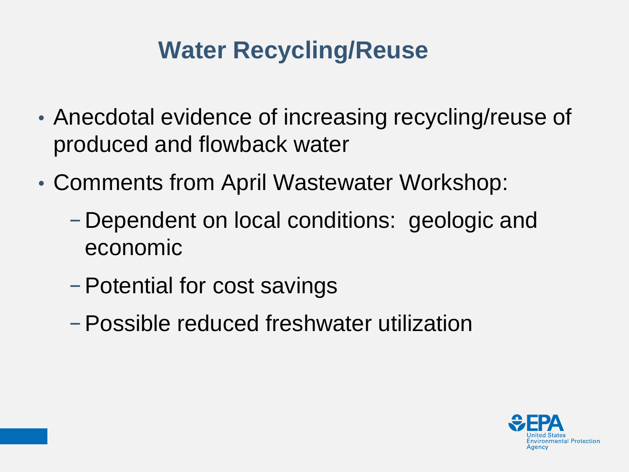### **Water Recycling/Reuse**

- Anecdotal evidence of increasing recycling/reuse of produced and flowback water
- Comments from April Wastewater Workshop:
	- − Dependent on local conditions: geologic and economic
	- −Potential for cost savings
	- −Possible reduced freshwater utilization

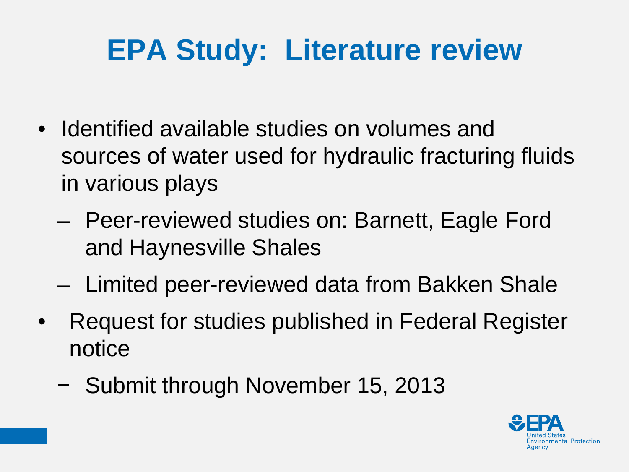# **EPA Study: Literature review**

- Identified available studies on volumes and sources of water used for hydraulic fracturing fluids in various plays
	- Peer-reviewed studies on: Barnett, Eagle Ford and Haynesville Shales
	- Limited peer-reviewed data from Bakken Shale
- Request for studies published in Federal Register notice
	- − Submit through November 15, 2013

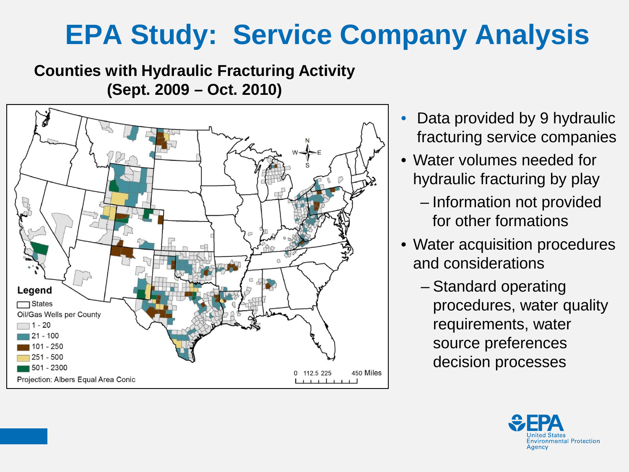## **EPA Study: Service Company Analysis**

#### **Counties with Hydraulic Fracturing Activity (Sept. 2009 – Oct. 2010)**



- Data provided by 9 hydraulic fracturing service companies
- Water volumes needed for hydraulic fracturing by play
	- Information not provided for other formations
- Water acquisition procedures and considerations
	- Standard operating procedures, water quality requirements, water source preferences decision processes

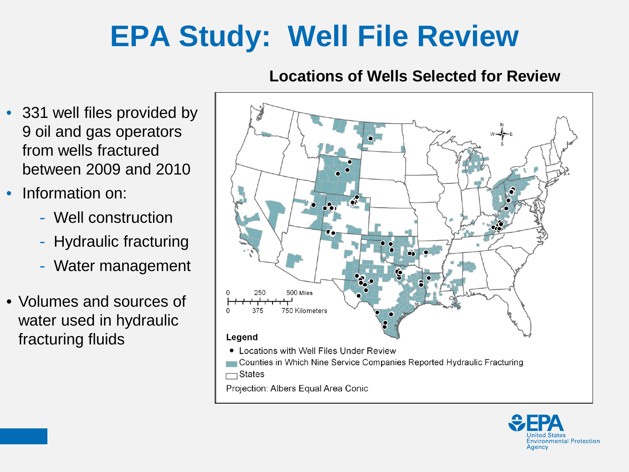# **EPA Study: Well File Review**

- 331 well files provided by 9 oil and gas operators from wells fractured between 2009 and 2010
- Information on:
	- Well construction
	- Hydraulic fracturing
	- Water management
- Volumes and sources of water used in hydraulic fracturing fluids





#### **Locations of Wells Selected for Review**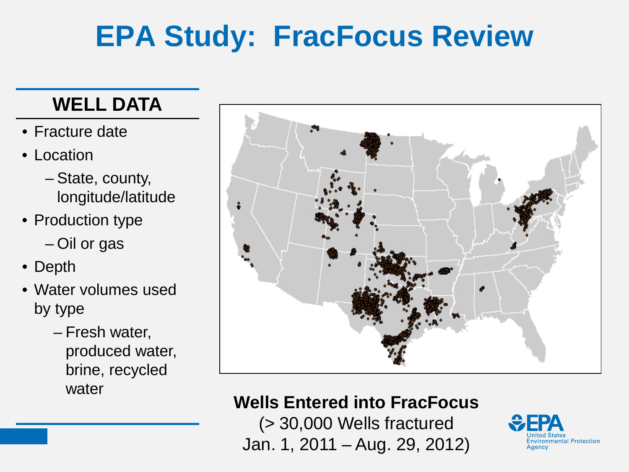# **EPA Study: FracFocus Review**

#### **WELL DATA**

- Fracture date
- Location
	- State, county, longitude/latitude
- Production type
	- Oil or gas
- Depth
- Water volumes used by type
	- Fresh water, produced water, brine, recycled water



#### **Wells Entered into FracFocus**

(> 30,000 Wells fractured Jan. 1, 2011 – Aug. 29, 2012)

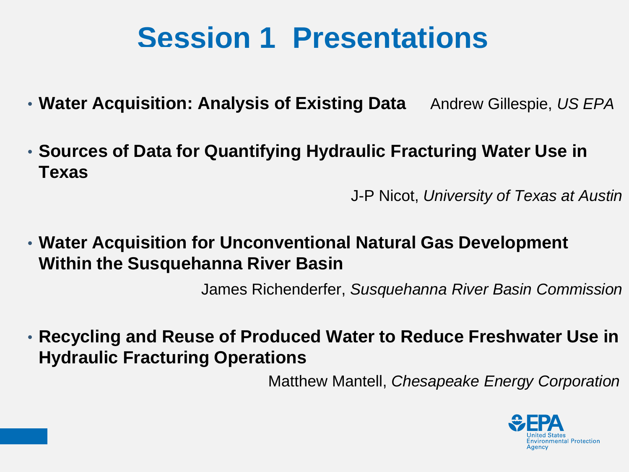## **Session 1 Presentations**

- Water Acquisition: Analysis of Existing Data Andrew Gillespie, US EPA
- **Sources of Data for Quantifying Hydraulic Fracturing Water Use in Texas**

J-P Nicot, *University of Texas at Austin*

• **Water Acquisition for Unconventional Natural Gas Development Within the Susquehanna River Basin**

James Richenderfer, *Susquehanna River Basin Commission*

• **Recycling and Reuse of Produced Water to Reduce Freshwater Use in Hydraulic Fracturing Operations** 

Matthew Mantell, *Chesapeake Energy Corporation*